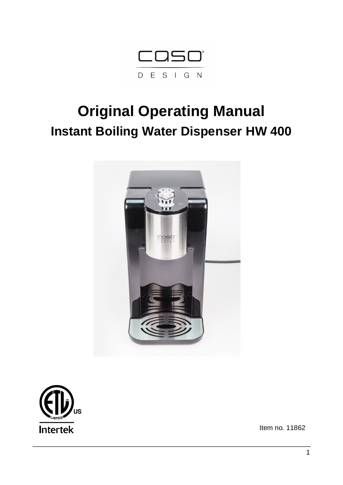

# **Original Operating Manual Instant Boiling Water Dispenser HW 400**





Item no. 11862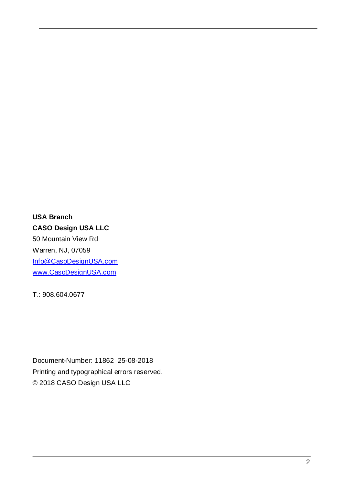**USA Branch CASO Design USA LLC** 50 Mountain View Rd Warren, NJ, 07059 [Info@CasoDesignUSA.com](mailto:Info@CasoDesignUSA.com) [www.CasoDesignUSA.com](http://www.casodesignusa.com/)

T.: 908.604.0677

Document-Number: 11862 25-08-2018 Printing and typographical errors reserved. © 2018 CASO Design USA LLC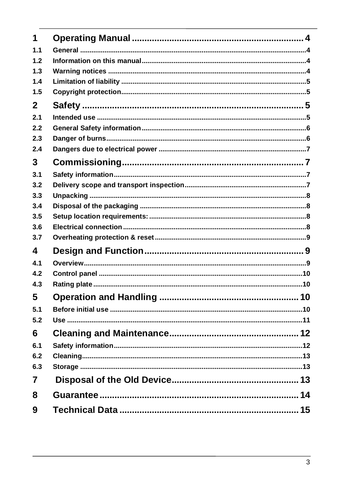| 1              |  |
|----------------|--|
| 1.1            |  |
| 1.2            |  |
| 1.3            |  |
| 1.4            |  |
| 1.5            |  |
| $\mathbf{2}$   |  |
| 2.1            |  |
| 2.2            |  |
| 2.3            |  |
| 2.4            |  |
| 3 <sup>1</sup> |  |
| 3.1            |  |
| 3.2            |  |
| 3.3            |  |
| 3.4            |  |
| 3.5            |  |
| 3.6            |  |
| 3.7            |  |
| 4              |  |
| 4.1            |  |
| 4.2            |  |
| 4.3            |  |
| 5              |  |
| 5.1            |  |
| 5.2            |  |
| 6              |  |
| 6.1            |  |
| 6.2            |  |
| 6.3            |  |
| $\overline{7}$ |  |
| 8              |  |
| 9              |  |
|                |  |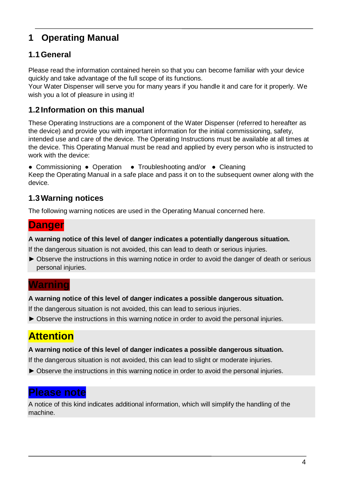# **1 Operating Manual**

### **1.1General**

Please read the information contained herein so that you can become familiar with your device quickly and take advantage of the full scope of its functions.

Your Water Dispenser will serve you for many years if you handle it and care for it properly. We wish you a lot of pleasure in using it!

#### **1.2 Information on this manual**

These Operating Instructions are a component of the Water Dispenser (referred to hereafter as the device) and provide you with important information for the initial commissioning, safety, intended use and care of the device. The Operating Instructions must be available at all times at the device. This Operating Manual must be read and applied by every person who is instructed to work with the device:

● Commissioning ● Operation ● Troubleshooting and/or ● Cleaning Keep the Operating Manual in a safe place and pass it on to the subsequent owner along with the device.

### **1.3Warning notices**

The following warning notices are used in the Operating Manual concerned here.

### **Danger**

#### **A warning notice of this level of danger indicates a potentially dangerous situation.**

If the dangerous situation is not avoided, this can lead to death or serious injuries.

► Observe the instructions in this warning notice in order to avoid the danger of death or serious personal injuries.

### **Warning**

#### **A warning notice of this level of danger indicates a possible dangerous situation.**

If the dangerous situation is not avoided, this can lead to serious injuries.

#

► Observe the instructions in this warning notice in order to avoid the personal injuries.

# **Attention**

#### **A warning notice of this level of danger indicates a possible dangerous situation.**

If the dangerous situation is not avoided, this can lead to slight or moderate injuries.

► Observe the instructions in this warning notice in order to avoid the personal injuries.

### **Please note**

A notice of this kind indicates additional information, which will simplify the handling of the machine.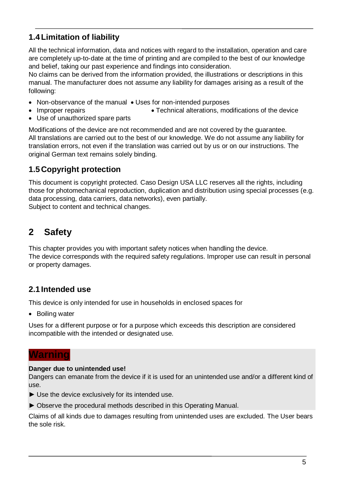### **1.4Limitation of liability**

All the technical information, data and notices with regard to the installation, operation and care are completely up-to-date at the time of printing and are compiled to the best of our knowledge and belief, taking our past experience and findings into consideration.

No claims can be derived from the information provided, the illustrations or descriptions in this manual. The manufacturer does not assume any liability for damages arising as a result of the following:

- Non-observance of the manual Uses for non-intended purposes
- Improper repairs **Improper repairs Technical alterations, modifications of the device**
- Use of unauthorized spare parts

Modifications of the device are not recommended and are not covered by the guarantee. All translations are carried out to the best of our knowledge. We do not assume any liability for translation errors, not even if the translation was carried out by us or on our instructions. The original German text remains solely binding.

### **1.5Copyright protection**

This document is copyright protected. Caso Design USA LLC reserves all the rights, including those for photomechanical reproduction, duplication and distribution using special processes (e.g. data processing, data carriers, data networks), even partially. Subject to content and technical changes.

# **2 Safety**

This chapter provides you with important safety notices when handling the device. The device corresponds with the required safety regulations. Improper use can result in personal or property damages.

### **2.1 Intended use**

This device is only intended for use in households in enclosed spaces for

• Boiling water

Uses for a different purpose or for a purpose which exceeds this description are considered incompatible with the intended or designated use.

### **Warning**

#### **Danger due to unintended use!**

Dangers can emanate from the device if it is used for an unintended use and/or a different kind of use.

- ► Use the device exclusively for its intended use.
- ► Observe the procedural methods described in this Operating Manual.

Claims of all kinds due to damages resulting from unintended uses are excluded. The User bears the sole risk.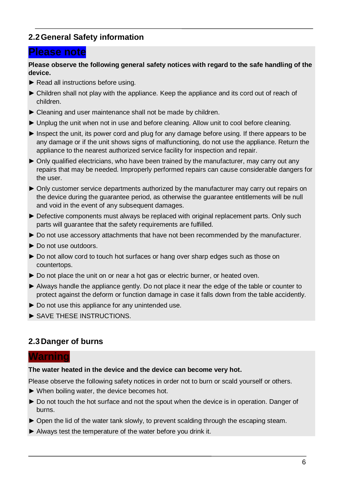### **2.2General Safety information**

### **Please note**

#### **Please observe the following general safety notices with regard to the safe handling of the device.**

- ► Read all instructions before using.
- ► Children shall not play with the appliance. Keep the appliance and its cord out of reach of children.
- ► Cleaning and user maintenance shall not be made by children.
- ► Unplug the unit when not in use and before cleaning. Allow unit to cool before cleaning.
- ► Inspect the unit, its power cord and plug for any damage before using. If there appears to be any damage or if the unit shows signs of malfunctioning, do not use the appliance. Return the appliance to the nearest authorized service facility for inspection and repair.
- ► Only qualified electricians, who have been trained by the manufacturer, may carry out any repairs that may be needed. Improperly performed repairs can cause considerable dangers for the user.
- ► Only customer service departments authorized by the manufacturer may carry out repairs on the device during the guarantee period, as otherwise the guarantee entitlements will be null and void in the event of any subsequent damages.
- ► Defective components must always be replaced with original replacement parts. Only such parts will guarantee that the safety requirements are fulfilled.
- ► Do not use accessory attachments that have not been recommended by the manufacturer.
- ► Do not use outdoors.
- ► Do not allow cord to touch hot surfaces or hang over sharp edges such as those on countertops.
- ► Do not place the unit on or near a hot gas or electric burner, or heated oven.
- ► Always handle the appliance gently. Do not place it near the edge of the table or counter to protect against the deform or function damage in case it falls down from the table accidently.
- ► Do not use this appliance for any unintended use.
- ► SAVE THESE INSTRUCTIONS.

#### **2.3Danger of burns**

#### **Warning**

#### **The water heated in the device and the device can become very hot.**

Please observe the following safety notices in order not to burn or scald yourself or others.

- ► When boiling water, the device becomes hot.
- ► Do not touch the hot surface and not the spout when the device is in operation. Danger of burns.
- ► Open the lid of the water tank slowly, to prevent scalding through the escaping steam.
- ► Always test the temperature of the water before you drink it.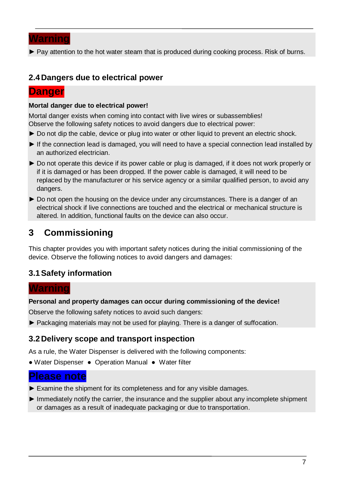

► Pay attention to the hot water steam that is produced during cooking process. Risk of burns.

#### **2.4Dangers due to electrical power**

#### **Danger**

#### **Mortal danger due to electrical power!**

Mortal danger exists when coming into contact with live wires or subassemblies! Observe the following safety notices to avoid dangers due to electrical power:

- ► Do not dip the cable, device or plug into water or other liquid to prevent an electric shock.
- ► If the connection lead is damaged, you will need to have a special connection lead installed by an authorized electrician.
- ► Do not operate this device if its power cable or plug is damaged, if it does not work properly or if it is damaged or has been dropped. If the power cable is damaged, it will need to be replaced by the manufacturer or his service agency or a similar qualified person, to avoid any dangers.
- ► Do not open the housing on the device under any circumstances. There is a danger of an electrical shock if live connections are touched and the electrical or mechanical structure is altered. In addition, functional faults on the device can also occur.

# **3 Commissioning**

This chapter provides you with important safety notices during the initial commissioning of the device. Observe the following notices to avoid dangers and damages:

### **3.1Safety information**

#### **Warning**

#### **Personal and property damages can occur during commissioning of the device!**

Observe the following safety notices to avoid such dangers:

► Packaging materials may not be used for playing. There is a danger of suffocation.

#### **3.2Delivery scope and transport inspection**

As a rule, the Water Dispenser is delivered with the following components:

● Water Dispenser ● Operation Manual ● Water filter

### **Please note**

- ► Examine the shipment for its completeness and for any visible damages.
- ► Immediately notify the carrier, the insurance and the supplier about any incomplete shipment or damages as a result of inadequate packaging or due to transportation.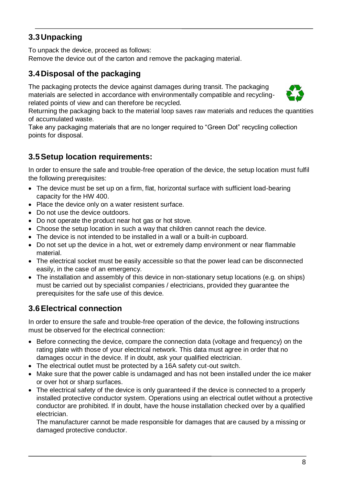### **3.3Unpacking**

To unpack the device, proceed as follows:

Remove the device out of the carton and remove the packaging material.

### **3.4Disposal of the packaging**

The packaging protects the device against damages during transit. The packaging materials are selected in accordance with environmentally compatible and recyclingrelated points of view and can therefore be recycled.



Returning the packaging back to the material loop saves raw materials and reduces the quantities of accumulated waste.

Take any packaging materials that are no longer required to "Green Dot" recycling collection points for disposal.

### **3.5Setup location requirements:**

In order to ensure the safe and trouble-free operation of the device, the setup location must fulfil the following prerequisites:

- The device must be set up on a firm, flat, horizontal surface with sufficient load-bearing capacity for the HW 400.
- Place the device only on a water resistent surface.
- Do not use the device outdoors.
- Do not operate the product near hot gas or hot stove.
- Choose the setup location in such a way that children cannot reach the device.
- The device is not intended to be installed in a wall or a built-in cupboard.
- Do not set up the device in a hot, wet or extremely damp environment or near flammable material.
- The electrical socket must be easily accessible so that the power lead can be disconnected easily, in the case of an emergency.
- The installation and assembly of this device in non-stationary setup locations (e.g. on ships) must be carried out by specialist companies / electricians, provided they guarantee the prerequisites for the safe use of this device.

### **3.6Electrical connection**

In order to ensure the safe and trouble-free operation of the device, the following instructions must be observed for the electrical connection:

- Before connecting the device, compare the connection data (voltage and frequency) on the rating plate with those of your electrical network. This data must agree in order that no damages occur in the device. If in doubt, ask your qualified electrician.
- The electrical outlet must be protected by a 16A safety cut-out switch.
- Make sure that the power cable is undamaged and has not been installed under the ice maker or over hot or sharp surfaces.
- The electrical safety of the device is only guaranteed if the device is connected to a properly installed protective conductor system. Operations using an electrical outlet without a protective conductor are prohibited. If in doubt, have the house installation checked over by a qualified electrician.

The manufacturer cannot be made responsible for damages that are caused by a missing or damaged protective conductor.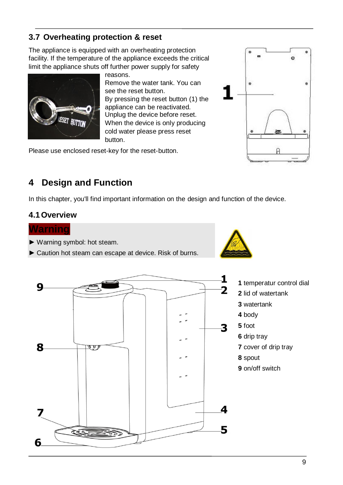### **3.7 Overheating protection & reset**

The appliance is equipped with an overheating protection facility. If the temperature of the appliance exceeds the critical limit the appliance shuts off further power supply for safety



reasons. Remove the water tank. You can see the reset button. By pressing the reset button (1) the appliance can be reactivated. Unplug the device before reset. When the device is only producing cold water please press reset button.

Please use enclosed reset-key for the reset-button.



## **4 Design and Function**

In this chapter, you'll find important information on the design and function of the device.

#### **4.1Overview**



- ► Warning symbol: hot steam.
- ► Caution hot steam can escape at device. Risk of burns.



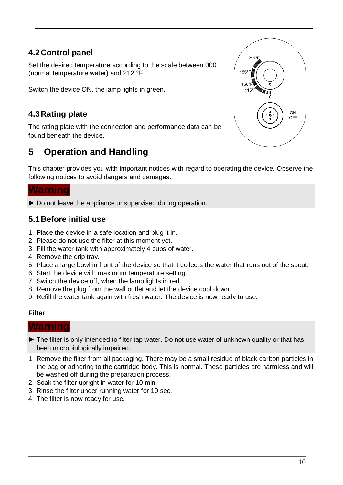### **4.2Control panel**

Set the desired temperature according to the scale between 000 (normal temperature water) and 212 °F

Switch the device ON, the lamp lights in green.

### **4.3Rating plate**

The rating plate with the connection and performance data can be found beneath the device.

# **5 Operation and Handling**

This chapter provides you with important notices with regard to operating the device. Observe the following notices to avoid dangers and damages.

#### **Warning**

► Do not leave the appliance unsupervised during operation.

#### **5.1Before initial use**

- 1. Place the device in a safe location and plug it in.
- 2. Please do not use the filter at this moment yet.
- 3. Fill the water tank with approximately 4 cups of water.
- 4. Remove the drip tray.
- 5. Place a large bowl in front of the device so that it collects the water that runs out of the spout.
- 6. Start the device with maximum temperature setting.
- 7. Switch the device off, when the lamp lights in red.
- 8. Remove the plug from the wall outlet and let the device cool down.
- 9. Refill the water tank again with fresh water. The device is now ready to use.

#### **Filter**

#### **Warning**

- ► The filter is only intended to filter tap water. Do not use water of unknown quality or that has been microbiologically impaired.
- 1. Remove the filter from all packaging. There may be a small residue of black carbon particles in the bag or adhering to the cartridge body. This is normal. These particles are harmless and will be washed off during the preparation process.
- 2. Soak the filter upright in water for 10 min.
- 3. Rinse the filter under running water for 10 sec.
- 4. The filter is now ready for use.

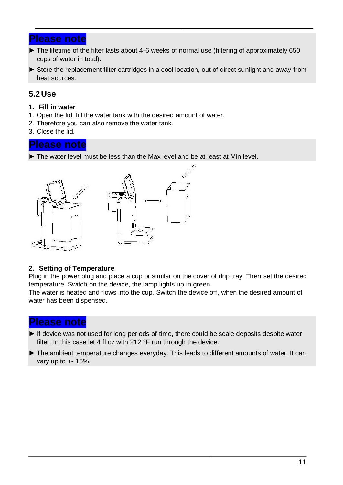#### **Please note**

- ► The lifetime of the filter lasts about 4-6 weeks of normal use (filtering of approximately 650 cups of water in total).
- ► Store the replacement filter cartridges in a cool location, out of direct sunlight and away from heat sources.

#### **5.2Use**

- **1. Fill in water**
- 1. Open the lid, fill the water tank with the desired amount of water.
- 2. Therefore you can also remove the water tank.
- 3. Close the lid.

#### **Please note**

► The water level must be less than the Max level and be at least at Min level.



#### **2. Setting of Temperature**

Plug in the power plug and place a cup or similar on the cover of drip tray. Then set the desired temperature. Switch on the device, the lamp lights up in green.

The water is heated and flows into the cup. Switch the device off, when the desired amount of water has been dispensed.

#### **Please note**

- ► If device was not used for long periods of time, there could be scale deposits despite water filter. In this case let 4 fl oz with 212 °F run through the device.
- ► The ambient temperature changes everyday. This leads to different amounts of water. It can vary up to +- 15%.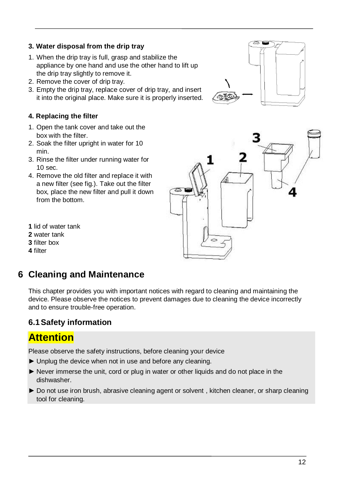#### **3. Water disposal from the drip tray**

- 1. When the drip tray is full, grasp and stabilize the appliance by one hand and use the other hand to lift up the drip tray slightly to remove it.
- 2. Remove the cover of drip tray.
- 3. Empty the drip tray, replace cover of drip tray, and insert it into the original place. Make sure it is properly inserted.

#### **4. Replacing the filter**

- 1. Open the tank cover and take out the box with the filter.
- 2. Soak the filter upright in water for 10 min.
- 3. Rinse the filter under running water for 10 sec.
- 4. Remove the old filter and replace it with a new filter (see fig.). Take out the filter box, place the new filter and pull it down from the bottom.
- **1** lid of water tank
- **2** water tank
- **3** filter box
- **4** filter

# **6 Cleaning and Maintenance**

This chapter provides you with important notices with regard to cleaning and maintaining the device. Please observe the notices to prevent damages due to cleaning the device incorrectly and to ensure trouble-free operation.

### **6.1Safety information**

# **Attention**

Please observe the safety instructions, before cleaning your device

- ► Unplug the device when not in use and before any cleaning.
- ► Never immerse the unit, cord or plug in water or other liquids and do not place in the dishwasher.
- ► Do not use iron brush, abrasive cleaning agent or solvent, kitchen cleaner, or sharp cleaning tool for cleaning.



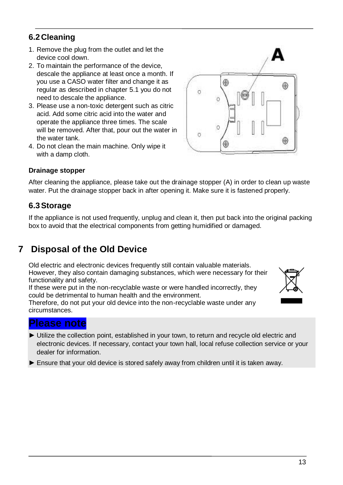### **6.2Cleaning**

- 1. Remove the plug from the outlet and let the device cool down.
- 2. To maintain the performance of the device, descale the appliance at least once a month. If you use a CASO water filter and change it as regular as described in chapter 5.1 you do not need to descale the appliance.
- 3. Please use a non-toxic detergent such as citric acid. Add some citric acid into the water and operate the appliance three times. The scale will be removed. After that, pour out the water in the water tank.
- 4. Do not clean the main machine. Only wipe it with a damp cloth.

#### **Drainage stopper**

After cleaning the appliance, please take out the drainage stopper (A) in order to clean up waste water. Put the drainage stopper back in after opening it. Make sure it is fastened properly.

#### **6.3Storage**

If the appliance is not used frequently, unplug and clean it, then put back into the original packing box to avoid that the electrical components from getting humidified or damaged.

# **7 Disposal of the Old Device**

Old electric and electronic devices frequently still contain valuable materials. However, they also contain damaging substances, which were necessary for their functionality and safety.

If these were put in the non-recyclable waste or were handled incorrectly, they could be detrimental to human health and the environment.

Therefore, do not put your old device into the non-recyclable waste under any circumstances.

#### **Please note**

- ► Utilize the collection point, established in your town, to return and recycle old electric and electronic devices. If necessary, contact your town hall, local refuse collection service or your dealer for information.
- ► Ensure that your old device is stored safely away from children until it is taken away.

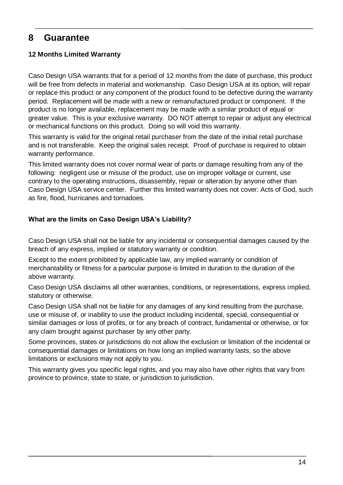### **8 Guarantee**

#### **12 Months Limited Warranty**

Caso Design USA warrants that for a period of 12 months from the date of purchase, this product will be free from defects in material and workmanship. Caso Design USA at its option, will repair or replace this product or any component of the product found to be defective during the warranty period. Replacement will be made with a new or remanufactured product or component. If the product is no longer available, replacement may be made with a similar product of equal or greater value. This is your exclusive warranty. DO NOT attempt to repair or adjust any electrical or mechanical functions on this product. Doing so will void this warranty.

This warranty is valid for the original retail purchaser from the date of the initial retail purchase and is not transferable. Keep the original sales receipt. Proof of purchase is required to obtain warranty performance.

This limited warranty does not cover normal wear of parts or damage resulting from any of the following: negligent use or misuse of the product, use on improper voltage or current, use contrary to the operating instructions, disassembly, repair or alteration by anyone other than Caso Design USA service center. Further this limited warranty does not cover: Acts of God, such as fire, flood, hurricanes and tornadoes.

#### **What are the limits on Caso Design USA's Liability?**

Caso Design USA shall not be liable for any incidental or consequential damages caused by the breach of any express, implied or statutory warranty or condition.

Except to the extent prohibited by applicable law, any implied warranty or condition of merchantability or fitness for a particular purpose is limited in duration to the duration of the above warranty.

Caso Design USA disclaims all other warranties, conditions, or representations, express implied, statutory or otherwise.

Caso Design USA shall not be liable for any damages of any kind resulting from the purchase, use or misuse of, or inability to use the product including incidental, special, consequential or similar damages or loss of profits, or for any breach of contract, fundamental or otherwise, or for any claim brought against purchaser by any other party.

Some provinces, states or jurisdictions do not allow the exclusion or limitation of the incidental or consequential damages or limitations on how long an implied warranty lasts, so the above limitations or exclusions may not apply to you.

This warranty gives you specific legal rights, and you may also have other rights that vary from province to province, state to state, or jurisdiction to jurisdiction.